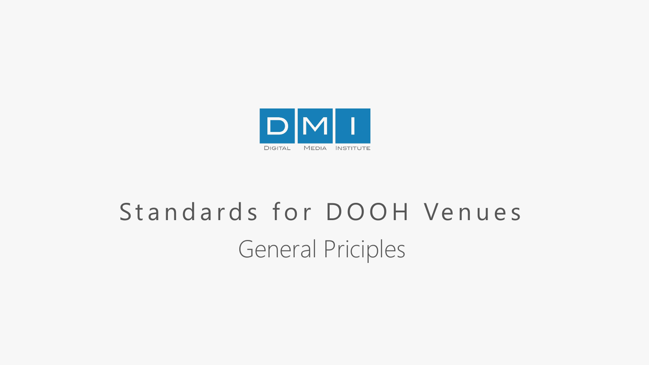

# Standards for DOOH Venues General Priciples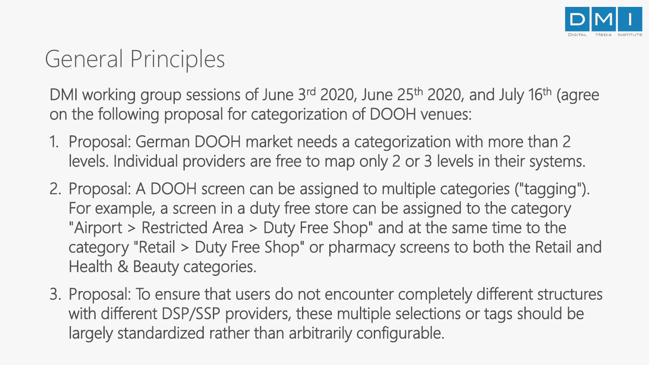

#### General Principles

DMI working group sessions of June 3<sup>rd</sup> 2020, June 25<sup>th</sup> 2020, and July 16<sup>th</sup> (agree on the following proposal for categorization of DOOH venues:

- 1. Proposal: German DOOH market needs a categorization with more than 2 levels. Individual providers are free to map only 2 or 3 levels in their systems.
- 2. Proposal: A DOOH screen can be assigned to multiple categories ("tagging"). For example, a screen in a duty free store can be assigned to the category "Airport > Restricted Area > Duty Free Shop" and at the same time to the category "Retail > Duty Free Shop" or pharmacy screens to both the Retail and Health & Beauty categories.
- 3. Proposal: To ensure that users do not encounter completely different structures with different DSP/SSP providers, these multiple selections or tags should be largely standardized rather than arbitrarily configurable.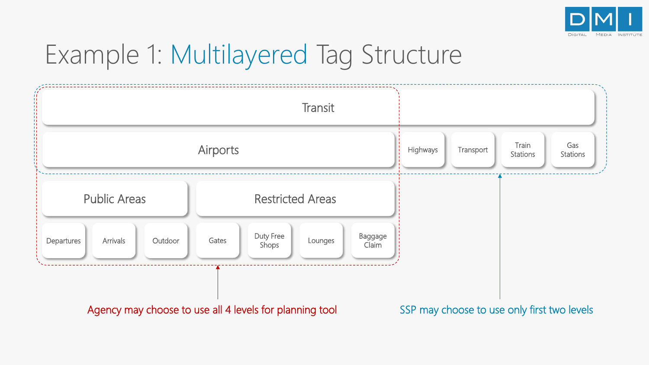

## Example 1: Multilayered Tag Structure

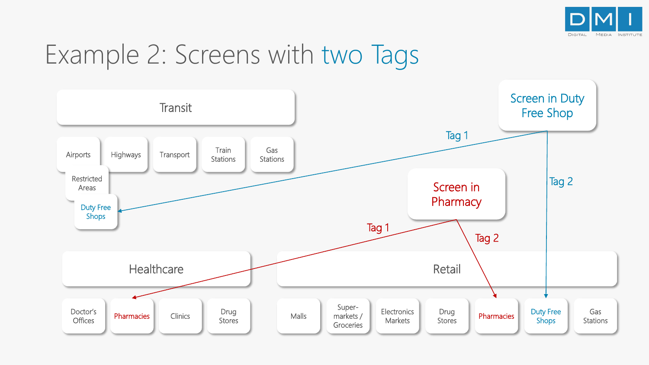

## Example 2: Screens with two Tags

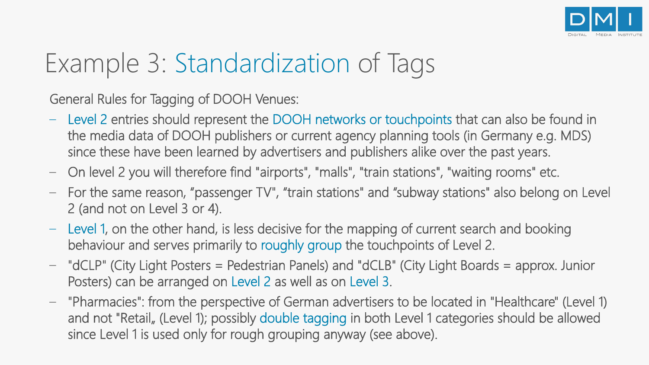

## Example 3: Standardization of Tags

General Rules for Tagging of DOOH Venues:

- Level 2 entries should represent the DOOH networks or touchpoints that can also be found in the media data of DOOH publishers or current agency planning tools (in Germany e.g. MDS) since these have been learned by advertisers and publishers alike over the past years.
- On level 2 you will therefore find "airports", "malls", "train stations", "waiting rooms" etc.
- For the same reason, "passenger TV", "train stations" and "subway stations" also belong on Level 2 (and not on Level 3 or 4).
- Level 1, on the other hand, is less decisive for the mapping of current search and booking behaviour and serves primarily to roughly group the touchpoints of Level 2.
- "dCLP" (City Light Posters = Pedestrian Panels) and "dCLB" (City Light Boards = approx. Junior Posters) can be arranged on Level 2 as well as on Level 3.
- "Pharmacies": from the perspective of German advertisers to be located in "Healthcare" (Level 1) and not "Retail, (Level 1); possibly double tagging in both Level 1 categories should be allowed since Level 1 is used only for rough grouping anyway (see above).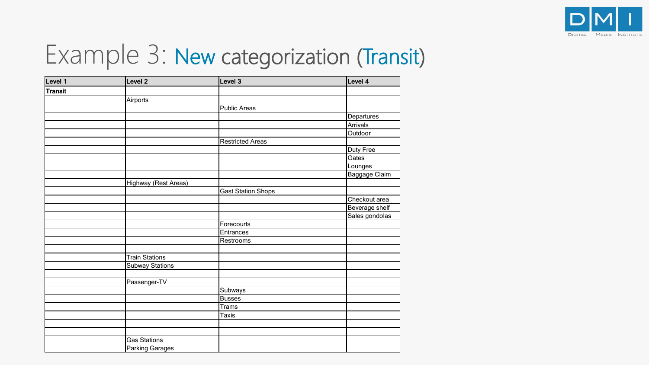

## Example 3: New categorization (Transit)

| Level 1        | Level 2                | Level 3                   | Level 4        |
|----------------|------------------------|---------------------------|----------------|
| <b>Transit</b> |                        |                           |                |
|                | Airports               |                           |                |
|                |                        | <b>Public Areas</b>       |                |
|                |                        |                           | Departures     |
|                |                        |                           | Arrivals       |
|                |                        |                           | Outdoor        |
|                |                        | <b>Restricted Areas</b>   |                |
|                |                        |                           | Duty Free      |
|                |                        |                           | Gates          |
|                |                        |                           | Lounges        |
|                |                        |                           | Baggage Claim  |
|                | Highway (Rest Areas)   |                           |                |
|                |                        | <b>Gast Station Shops</b> |                |
|                |                        |                           | Checkout area  |
|                |                        |                           | Beverage shelf |
|                |                        |                           | Sales gondolas |
|                |                        | Forecourts                |                |
|                |                        | Entrances                 |                |
|                |                        | Restrooms                 |                |
|                |                        |                           |                |
|                | <b>Train Stations</b>  |                           |                |
|                | <b>Subway Stations</b> |                           |                |
|                |                        |                           |                |
|                | Passenger-TV           |                           |                |
|                |                        | Subways                   |                |
|                |                        | <b>Busses</b>             |                |
|                |                        | <b>Trams</b>              |                |
|                |                        | Taxis                     |                |
|                |                        |                           |                |
|                |                        |                           |                |
|                | <b>Gas Stations</b>    |                           |                |
|                | Parking Garages        |                           |                |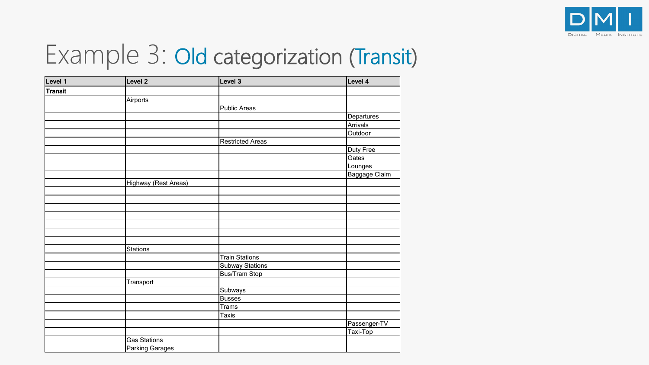

## Example 3: Old categorization (Transit)

| Level 1 | Level 2                | Level 3                 | Level 4                                                    |
|---------|------------------------|-------------------------|------------------------------------------------------------|
| Transit |                        |                         |                                                            |
|         | <b>Airports</b>        |                         |                                                            |
|         |                        | Public Areas            |                                                            |
|         |                        |                         | Departures                                                 |
|         |                        |                         | Arrivals                                                   |
|         |                        |                         | Outdoor                                                    |
|         |                        | <b>Restricted Areas</b> |                                                            |
|         |                        |                         | Duty Free                                                  |
|         |                        |                         | $\overline{\overline{\mathsf{G}}}\overline{\mathsf{ates}}$ |
|         |                        |                         | Lounges                                                    |
|         |                        |                         | Baggage Claim                                              |
|         | Highway (Rest Areas)   |                         |                                                            |
|         |                        |                         |                                                            |
|         |                        |                         |                                                            |
|         |                        |                         |                                                            |
|         |                        |                         |                                                            |
|         |                        |                         |                                                            |
|         |                        |                         |                                                            |
|         |                        |                         |                                                            |
|         | <b>Stations</b>        |                         |                                                            |
|         |                        | <b>Train Stations</b>   |                                                            |
|         |                        | <b>Subway Stations</b>  |                                                            |
|         |                        | <b>Bus/Tram Stop</b>    |                                                            |
|         | Transport              |                         |                                                            |
|         |                        | Subways                 |                                                            |
|         |                        | <b>Busses</b>           |                                                            |
|         |                        | <b>Trams</b>            |                                                            |
|         |                        | <b>Taxis</b>            |                                                            |
|         |                        |                         | Passenger-TV                                               |
|         |                        |                         | Taxi-Top                                                   |
|         | <b>Gas Stations</b>    |                         |                                                            |
|         | <b>Parking Garages</b> |                         |                                                            |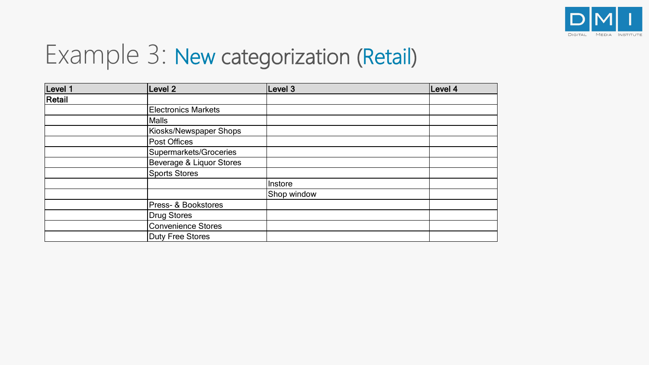

## Example 3: New categorization (Retail)

| Level 1 | Level <sub>2</sub>         | Level 3     | Level 4 |
|---------|----------------------------|-------------|---------|
| Retail  |                            |             |         |
|         | <b>Electronics Markets</b> |             |         |
|         | <b>Malls</b>               |             |         |
|         | Kiosks/Newspaper Shops     |             |         |
|         | Post Offices               |             |         |
|         | Supermarkets/Groceries     |             |         |
|         | Beverage & Liquor Stores   |             |         |
|         | <b>Sports Stores</b>       |             |         |
|         |                            | Instore     |         |
|         |                            | Shop window |         |
|         | Press- & Bookstores        |             |         |
|         | <b>Drug Stores</b>         |             |         |
|         | <b>Convenience Stores</b>  |             |         |
|         | Duty Free Stores           |             |         |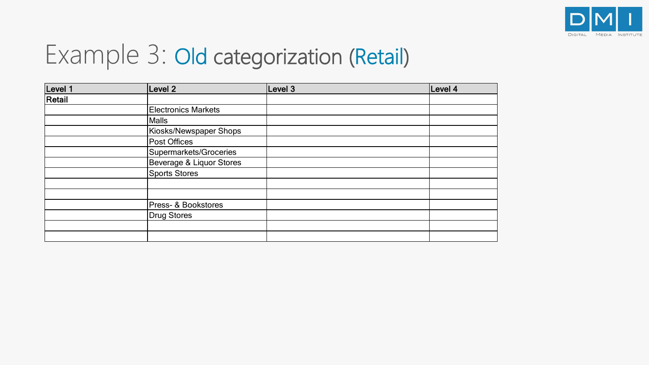

## Example 3: Old categorization (Retail)

| Level 1 | Level 2                    | Level 3 | Level 4 |
|---------|----------------------------|---------|---------|
| Retail  |                            |         |         |
|         | <b>Electronics Markets</b> |         |         |
|         | Malls                      |         |         |
|         | Kiosks/Newspaper Shops     |         |         |
|         | Post Offices               |         |         |
|         | Supermarkets/Groceries     |         |         |
|         | Beverage & Liquor Stores   |         |         |
|         | Sports Stores              |         |         |
|         |                            |         |         |
|         |                            |         |         |
|         | Press- & Bookstores        |         |         |
|         | Drug Stores                |         |         |
|         |                            |         |         |
|         |                            |         |         |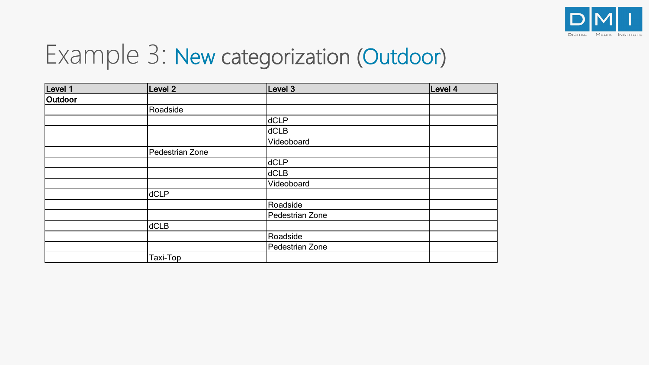

## Example 3: New categorization (Outdoor)

| Level 1 | Level 2         | Level 3         | Level 4 |
|---------|-----------------|-----------------|---------|
| Outdoor |                 |                 |         |
|         | Roadside        |                 |         |
|         |                 | dCLP            |         |
|         |                 | dCLB            |         |
|         |                 | Videoboard      |         |
|         | Pedestrian Zone |                 |         |
|         |                 | dCLP            |         |
|         |                 | dCLB            |         |
|         |                 | Videoboard      |         |
|         | dCLP            |                 |         |
|         |                 | Roadside        |         |
|         |                 | Pedestrian Zone |         |
|         | dCLB            |                 |         |
|         |                 | Roadside        |         |
|         |                 | Pedestrian Zone |         |
|         | Taxi-Top        |                 |         |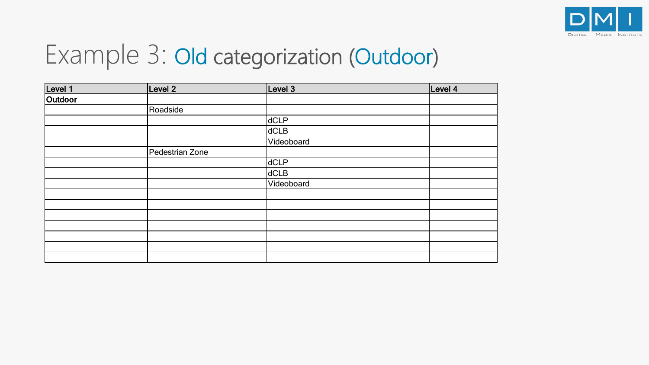

### Example 3: Old categorization (Outdoor)

| Level 1 | Level 2         | Level 3    | Level 4 |
|---------|-----------------|------------|---------|
| Outdoor |                 |            |         |
|         | Roadside        |            |         |
|         |                 | dCLP       |         |
|         |                 | dCLB       |         |
|         |                 | Videoboard |         |
|         | Pedestrian Zone |            |         |
|         |                 | dCLP       |         |
|         |                 | dCLB       |         |
|         |                 | Videoboard |         |
|         |                 |            |         |
|         |                 |            |         |
|         |                 |            |         |
|         |                 |            |         |
|         |                 |            |         |
|         |                 |            |         |
|         |                 |            |         |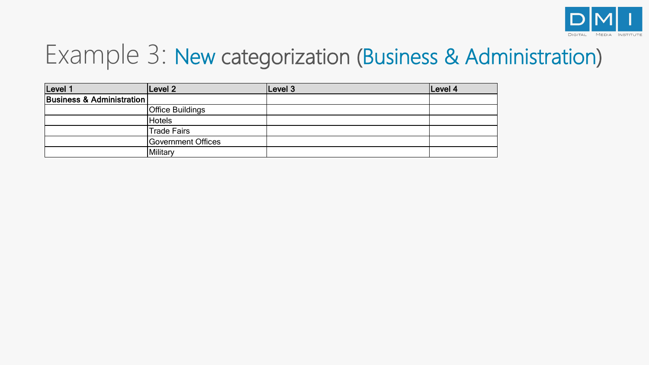

## Example 3: New categorization (Business & Administration)

| Level 1                   | Level <sub>2</sub>      | Level 3 | Level 4 |
|---------------------------|-------------------------|---------|---------|
| Business & Administration |                         |         |         |
|                           | <b>Office Buildings</b> |         |         |
|                           | <b>Hotels</b>           |         |         |
|                           | <b>Trade Fairs</b>      |         |         |
|                           | Government Offices      |         |         |
|                           | Military                |         |         |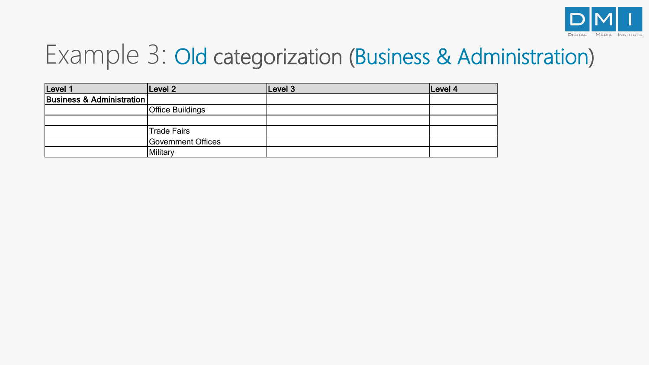

## Example 3: Old categorization (Business & Administration)

| Level 1                   | Level <sub>2</sub>      | Level 3 | Level 4 |
|---------------------------|-------------------------|---------|---------|
| Business & Administration |                         |         |         |
|                           | <b>Office Buildings</b> |         |         |
|                           |                         |         |         |
|                           | <b>Trade Fairs</b>      |         |         |
|                           | Government Offices      |         |         |
|                           | Military                |         |         |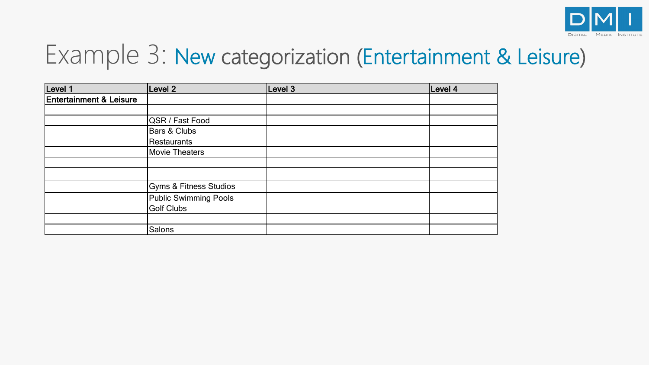

## Example 3: New categorization (Entertainment & Leisure)

| Level 1                            | Level 2                | Level 3 | Level 4 |
|------------------------------------|------------------------|---------|---------|
| <b>Entertainment &amp; Leisure</b> |                        |         |         |
|                                    |                        |         |         |
|                                    | QSR / Fast Food        |         |         |
|                                    | Bars & Clubs           |         |         |
|                                    | Restaurants            |         |         |
|                                    | <b>Movie Theaters</b>  |         |         |
|                                    |                        |         |         |
|                                    |                        |         |         |
|                                    | Gyms & Fitness Studios |         |         |
|                                    | Public Swimming Pools  |         |         |
|                                    | <b>Golf Clubs</b>      |         |         |
|                                    |                        |         |         |
|                                    | Salons                 |         |         |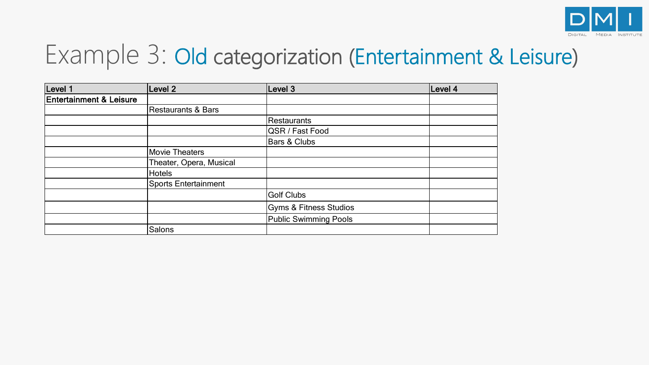

## Example 3: Old categorization (Entertainment & Leisure)

| Level 1                            | Level 2                     | Level 3                           | Level 4 |
|------------------------------------|-----------------------------|-----------------------------------|---------|
| <b>Entertainment &amp; Leisure</b> |                             |                                   |         |
|                                    | Restaurants & Bars          |                                   |         |
|                                    |                             | Restaurants                       |         |
|                                    |                             | QSR / Fast Food                   |         |
|                                    |                             | Bars & Clubs                      |         |
|                                    | Movie Theaters              |                                   |         |
|                                    | Theater, Opera, Musical     |                                   |         |
|                                    | <b>Hotels</b>               |                                   |         |
|                                    | <b>Sports Entertainment</b> |                                   |         |
|                                    |                             | <b>Golf Clubs</b>                 |         |
|                                    |                             | <b>Gyms &amp; Fitness Studios</b> |         |
|                                    |                             | <b>Public Swimming Pools</b>      |         |
|                                    | Salons                      |                                   |         |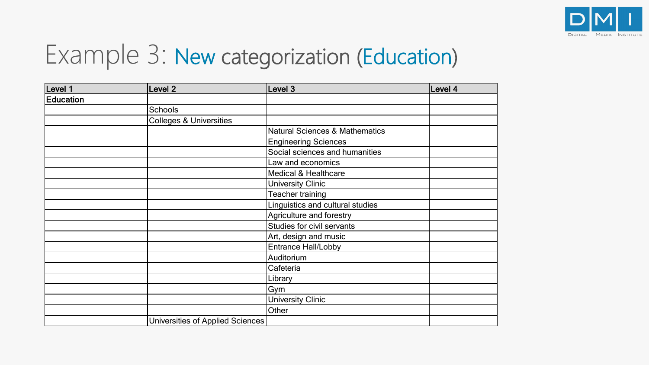

## Example 3: New categorization (Education)

| Level 1          | Level <sub>2</sub>                 | Level 3                                   | Level 4 |
|------------------|------------------------------------|-------------------------------------------|---------|
| <b>Education</b> |                                    |                                           |         |
|                  | <b>Schools</b>                     |                                           |         |
|                  | <b>Colleges &amp; Universities</b> |                                           |         |
|                  |                                    | <b>Natural Sciences &amp; Mathematics</b> |         |
|                  |                                    | <b>Engineering Sciences</b>               |         |
|                  |                                    | Social sciences and humanities            |         |
|                  |                                    | Law and economics                         |         |
|                  |                                    | <b>Medical &amp; Healthcare</b>           |         |
|                  |                                    | <b>University Clinic</b>                  |         |
|                  |                                    | Teacher training                          |         |
|                  |                                    | Linguistics and cultural studies          |         |
|                  |                                    | Agriculture and forestry                  |         |
|                  |                                    | Studies for civil servants                |         |
|                  |                                    | Art, design and music                     |         |
|                  |                                    | <b>Entrance Hall/Lobby</b>                |         |
|                  |                                    | Auditorium                                |         |
|                  |                                    | Cafeteria                                 |         |
|                  |                                    | Library                                   |         |
|                  |                                    | Gym                                       |         |
|                  |                                    | <b>University Clinic</b>                  |         |
|                  |                                    | Other                                     |         |
|                  | Universities of Applied Sciences   |                                           |         |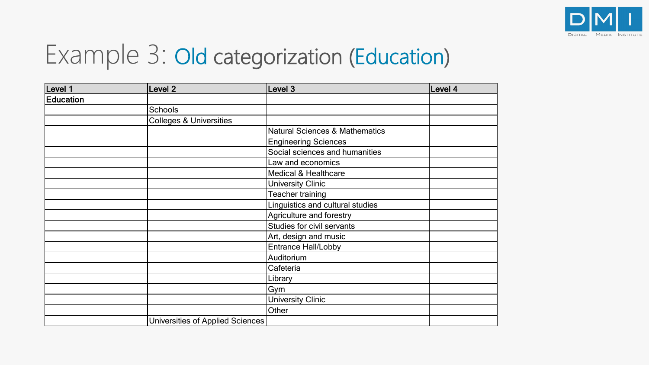

## Example 3: Old categorization (Education)

| Level 1          | Level 2                            | Level 3                                   | Level 4 |
|------------------|------------------------------------|-------------------------------------------|---------|
| <b>Education</b> |                                    |                                           |         |
|                  | Schools                            |                                           |         |
|                  | <b>Colleges &amp; Universities</b> |                                           |         |
|                  |                                    | <b>Natural Sciences &amp; Mathematics</b> |         |
|                  |                                    | <b>Engineering Sciences</b>               |         |
|                  |                                    | Social sciences and humanities            |         |
|                  |                                    | Law and economics                         |         |
|                  |                                    | <b>Medical &amp; Healthcare</b>           |         |
|                  |                                    | <b>University Clinic</b>                  |         |
|                  |                                    | Teacher training                          |         |
|                  |                                    | Linguistics and cultural studies          |         |
|                  |                                    | Agriculture and forestry                  |         |
|                  |                                    | Studies for civil servants                |         |
|                  |                                    | Art, design and music                     |         |
|                  |                                    | <b>Entrance Hall/Lobby</b>                |         |
|                  |                                    | Auditorium                                |         |
|                  |                                    | Cafeteria                                 |         |
|                  |                                    | Library                                   |         |
|                  |                                    | Gym                                       |         |
|                  |                                    | <b>University Clinic</b>                  |         |
|                  |                                    | Other                                     |         |
|                  | Universities of Applied Sciences   |                                           |         |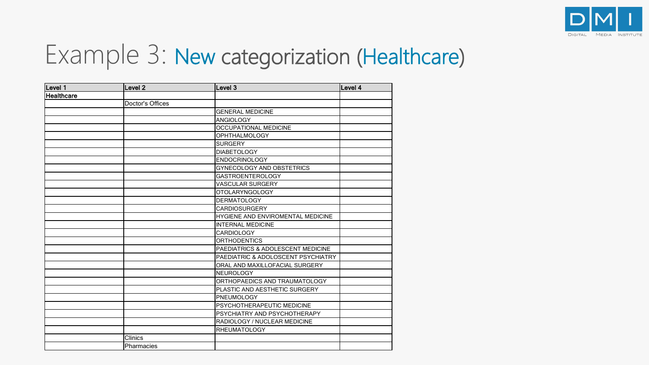

#### Example 3: New categorization (Healthcare)

| Level 1    | Level 2          | Level 3                            | Level 4 |
|------------|------------------|------------------------------------|---------|
| Healthcare |                  |                                    |         |
|            | Doctor's Offices |                                    |         |
|            |                  | <b>GENERAL MEDICINE</b>            |         |
|            |                  | <b>ANGIOLOGY</b>                   |         |
|            |                  | <b>OCCUPATIONAL MEDICINE</b>       |         |
|            |                  | <b>OPHTHALMOLOGY</b>               |         |
|            |                  | <b>SURGERY</b>                     |         |
|            |                  | <b>DIABETOLOGY</b>                 |         |
|            |                  | <b>ENDOCRINOLOGY</b>               |         |
|            |                  | GYNECOLOGY AND OBSTETRICS          |         |
|            |                  | <b>GASTROENTEROLOGY</b>            |         |
|            |                  | <b>VASCULAR SURGERY</b>            |         |
|            |                  | OTOLARYNGOLOGY                     |         |
|            |                  | <b>DERMATOLOGY</b>                 |         |
|            |                  | <b>CARDIOSURGERY</b>               |         |
|            |                  | HYGIENE AND ENVIROMENTAL MEDICINE  |         |
|            |                  | <b>INTERNAL MEDICINE</b>           |         |
|            |                  | <b>CARDIOLOGY</b>                  |         |
|            |                  | <b>ORTHODENTICS</b>                |         |
|            |                  | PAEDIATRICS & ADOLESCENT MEDICINE  |         |
|            |                  | PAEDIATRIC & ADOLOSCENT PSYCHIATRY |         |
|            |                  | ORAL AND MAXILLOFACIAL SURGERY     |         |
|            |                  | <b>NEUROLOGY</b>                   |         |
|            |                  | ORTHOPAEDICS AND TRAUMATOLOGY      |         |
|            |                  | PLASTIC AND AESTHETIC SURGERY      |         |
|            |                  | PNEUMOLOGY                         |         |
|            |                  | PSYCHOTHERAPEUTIC MEDICINE         |         |
|            |                  | PSYCHIATRY AND PSYCHOTHERAPY       |         |
|            |                  | RADIOLOGY / NUCLEAR MEDICINE       |         |
|            |                  | <b>RHEUMATOLOGY</b>                |         |
|            | <b>Clinics</b>   |                                    |         |
|            | Pharmacies       |                                    |         |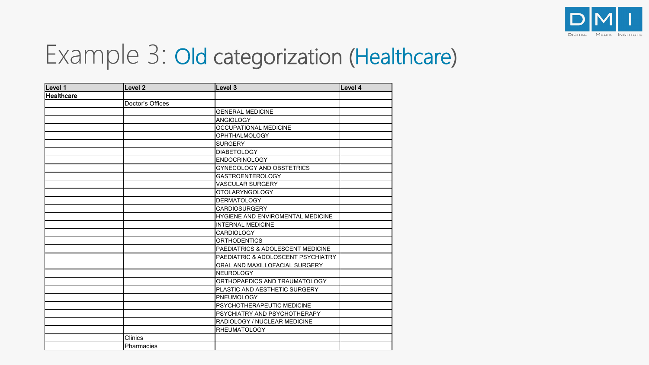

#### Example 3: Old categorization (Healthcare)

| Level 1    | Level <sub>2</sub> | Level 3                            | Level 4 |
|------------|--------------------|------------------------------------|---------|
| Healthcare |                    |                                    |         |
|            | Doctor's Offices   |                                    |         |
|            |                    | <b>GENERAL MEDICINE</b>            |         |
|            |                    | <b>ANGIOLOGY</b>                   |         |
|            |                    | <b>OCCUPATIONAL MEDICINE</b>       |         |
|            |                    | <b>OPHTHALMOLOGY</b>               |         |
|            |                    | <b>SURGERY</b>                     |         |
|            |                    | <b>DIABETOLOGY</b>                 |         |
|            |                    | <b>ENDOCRINOLOGY</b>               |         |
|            |                    | GYNECOLOGY AND OBSTETRICS          |         |
|            |                    | <b>GASTROENTEROLOGY</b>            |         |
|            |                    | <b>VASCULAR SURGERY</b>            |         |
|            |                    | OTOLARYNGOLOGY                     |         |
|            |                    | <b>DERMATOLOGY</b>                 |         |
|            |                    | <b>CARDIOSURGERY</b>               |         |
|            |                    | HYGIENE AND ENVIROMENTAL MEDICINE  |         |
|            |                    | <b>INTERNAL MEDICINE</b>           |         |
|            |                    | <b>CARDIOLOGY</b>                  |         |
|            |                    | <b>ORTHODENTICS</b>                |         |
|            |                    | PAEDIATRICS & ADOLESCENT MEDICINE  |         |
|            |                    | PAEDIATRIC & ADOLOSCENT PSYCHIATRY |         |
|            |                    | ORAL AND MAXILLOFACIAL SURGERY     |         |
|            |                    | <b>NEUROLOGY</b>                   |         |
|            |                    | ORTHOPAEDICS AND TRAUMATOLOGY      |         |
|            |                    | PLASTIC AND AESTHETIC SURGERY      |         |
|            |                    | PNEUMOLOGY                         |         |
|            |                    | PSYCHOTHERAPEUTIC MEDICINE         |         |
|            |                    | PSYCHIATRY AND PSYCHOTHERAPY       |         |
|            |                    | RADIOLOGY / NUCLEAR MEDICINE       |         |
|            |                    | <b>RHEUMATOLOGY</b>                |         |
|            | <b>Clinics</b>     |                                    |         |
|            | Pharmacies         |                                    |         |